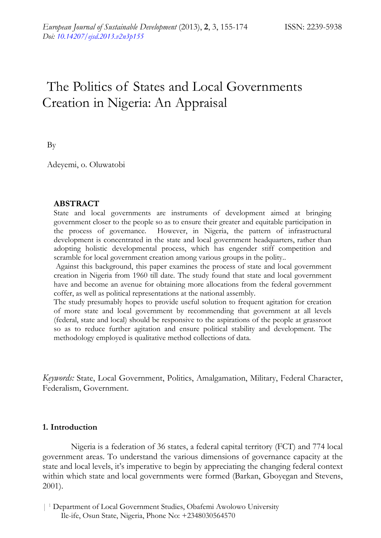# The Politics of States and Local Governments Creation in Nigeria: An Appraisal

By

Adeyemi, o. Oluwatobi

#### **ABSTRACT**

State and local governments are instruments of development aimed at bringing government closer to the people so as to ensure their greater and equitable participation in the process of governance. However, in Nigeria, the pattern of infrastructural development is concentrated in the state and local government headquarters, rather than adopting holistic developmental process, which has engender stiff competition and scramble for local government creation among various groups in the polity..

 Against this background, this paper examines the process of state and local government creation in Nigeria from 1960 till date. The study found that state and local government have and become an avenue for obtaining more allocations from the federal government coffer, as well as political representations at the national assembly.

The study presumably hopes to provide useful solution to frequent agitation for creation of more state and local government by recommending that government at all levels (federal, state and local) should be responsive to the aspirations of the people at grassroot so as to reduce further agitation and ensure political stability and development. The methodology employed is qualitative method collections of data.

*Keywords:* State, Local Government, Politics, Amalgamation, Military, Federal Character, Federalism, Government.

#### **1. Introduction**

Nigeria is a federation of 36 states, a federal capital territory (FCT) and 774 local government areas. To understand the various dimensions of governance capacity at the state and local levels, it's imperative to begin by appreciating the changing federal context within which state and local governments were formed (Barkan, Gboyegan and Stevens, 2001).

<sup>| 1</sup> Department of Local Government Studies, Obafemi Awolowo University Ile-ife, Osun State, Nigeria, Phone No: +2348030564570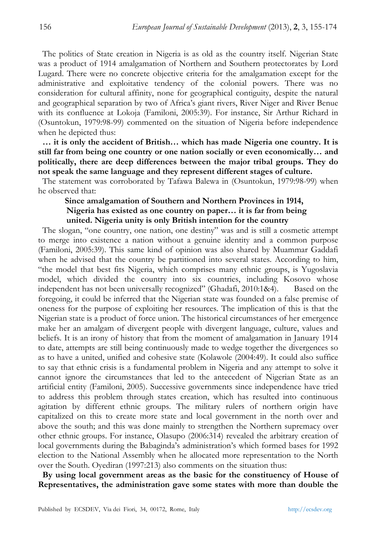The politics of State creation in Nigeria is as old as the country itself. Nigerian State was a product of 1914 amalgamation of Northern and Southern protectorates by Lord Lugard. There were no concrete objective criteria for the amalgamation except for the administrative and exploitative tendency of the colonial powers. There was no consideration for cultural affinity, none for geographical contiguity, despite the natural and geographical separation by two of Africa's giant rivers, River Niger and River Benue with its confluence at Lokoja (Familoni, 2005:39). For instance, Sir Arthur Richard in (Osuntokun, 1979:98-99) commented on the situation of Nigeria before independence when he depicted thus:

**… it is only the accident of British… which has made Nigeria one country. It is still far from being one country or one nation socially or even economically… and politically, there are deep differences between the major tribal groups. They do not speak the same language and they represent different stages of culture.** 

The statement was corroborated by Tafawa Balewa in (Osuntokun, 1979:98-99) when he observed that:

## **Since amalgamation of Southern and Northern Provinces in 1914, Nigeria has existed as one country on paper… it is far from being united. Nigeria unity is only British intention for the country**

The slogan, "one country, one nation, one destiny" was and is still a cosmetic attempt to merge into existence a nation without a genuine identity and a common purpose (Familoni, 2005:39). This same kind of opinion was also shared by Muammar Gaddafi when he advised that the country be partitioned into several states. According to him, "the model that best fits Nigeria, which comprises many ethnic groups, is Yugoslavia model, which divided the country into six countries, including Kosovo whose independent has not been universally recognized" (Ghadafi, 2010:1&4). Based on the foregoing, it could be inferred that the Nigerian state was founded on a false premise of oneness for the purpose of exploiting her resources. The implication of this is that the Nigerian state is a product of force union. The historical circumstances of her emergence make her an amalgam of divergent people with divergent language, culture, values and beliefs. It is an irony of history that from the moment of amalgamation in January 1914 to date, attempts are still being continuously made to wedge together the divergences so as to have a united, unified and cohesive state (Kolawole (2004:49). It could also suffice to say that ethnic crisis is a fundamental problem in Nigeria and any attempt to solve it cannot ignore the circumstances that led to the antecedent of Nigerian State as an artificial entity (Familoni, 2005). Successive governments since independence have tried to address this problem through states creation, which has resulted into continuous agitation by different ethnic groups. The military rulers of northern origin have capitalized on this to create more state and local government in the north over and above the south; and this was done mainly to strengthen the Northern supremacy over other ethnic groups. For instance, Olasupo (2006:314) revealed the arbitrary creation of local governments during the Babaginda's administration's which formed bases for 1992 election to the National Assembly when he allocated more representation to the North over the South. Oyediran (1997:213) also comments on the situation thus:

**By using local government areas as the basic for the constituency of House of Representatives, the administration gave some states with more than double the**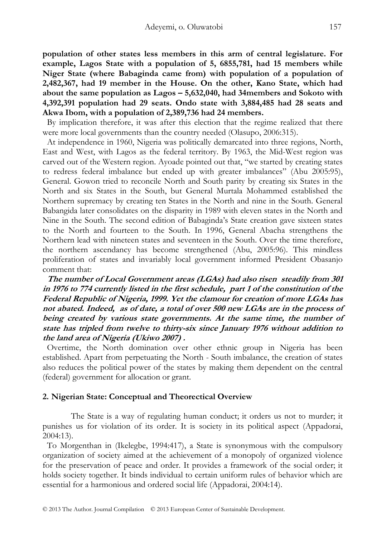**population of other states less members in this arm of central legislature. For example, Lagos State with a population of 5, 6855,781, had 15 members while Niger State (where Babaginda came from) with population of a population of 2,482,367, had 19 member in the House. On the other, Kano State, which had about the same population as Lagos – 5,632,040, had 34members and Sokoto with 4,392,391 population had 29 seats. Ondo state with 3,884,485 had 28 seats and Akwa Ibom, with a population of 2,389,736 had 24 members.** 

By implication therefore, it was after this election that the regime realized that there were more local governments than the country needed (Olasupo, 2006:315).

At independence in 1960, Nigeria was politically demarcated into three regions, North, East and West, with Lagos as the federal territory. By 1963, the Mid-West region was carved out of the Western region. Ayoade pointed out that, "we started by creating states to redress federal imbalance but ended up with greater imbalances" (Abu 2005:95), General. Gowon tried to reconcile North and South parity by creating six States in the North and six States in the South, but General Murtala Mohammed established the Northern supremacy by creating ten States in the North and nine in the South. General Babangida later consolidates on the disparity in 1989 with eleven states in the North and Nine in the South. The second edition of Babaginda's State creation gave sixteen states to the North and fourteen to the South. In 1996, General Abacha strengthens the Northern lead with nineteen states and seventeen in the South. Over the time therefore, the northern ascendancy has become strengthened (Abu, 2005:96). This mindless proliferation of states and invariably local government informed President Obasanjo comment that:

**The number of Local Government areas (LGAs) had also risen steadily from 301 in 1976 to 774 currently listed in the first schedule, part 1 of the constitution of the Federal Republic of Nigeria, 1999. Yet the clamour for creation of more LGAs has not abated. Indeed, as of date, a total of over 500 new LGAs are in the process of being created by various state governments. At the same time, the number of state has tripled from twelve to thirty-six since January 1976 without addition to the land area of Nigeria (Ukiwo 2007) .** 

Overtime, the North domination over other ethnic group in Nigeria has been established. Apart from perpetuating the North - South imbalance, the creation of states also reduces the political power of the states by making them dependent on the central (federal) government for allocation or grant.

## **2. Nigerian State: Conceptual and Theorectical Overview**

The State is a way of regulating human conduct; it orders us not to murder; it punishes us for violation of its order. It is society in its political aspect (Appadorai, 2004:13).

To Morgenthan in (Ikelegbe, 1994:417), a State is synonymous with the compulsory organization of society aimed at the achievement of a monopoly of organized violence for the preservation of peace and order. It provides a framework of the social order; it holds society together. It binds individual to certain uniform rules of behavior which are essential for a harmonious and ordered social life (Appadorai, 2004:14).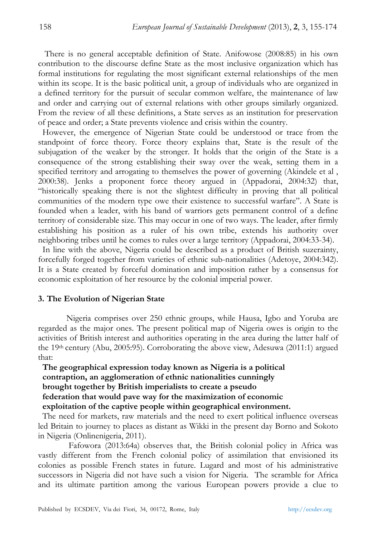There is no general acceptable definition of State. Anifowose (2008:85) in his own contribution to the discourse define State as the most inclusive organization which has formal institutions for regulating the most significant external relationships of the men within its scope. It is the basic political unit, a group of individuals who are organized in a defined territory for the pursuit of secular common welfare, the maintenance of law and order and carrying out of external relations with other groups similarly organized. From the review of all these definitions, a State serves as an institution for preservation of peace and order; a State prevents violence and crisis within the country.

However, the emergence of Nigerian State could be understood or trace from the standpoint of force theory. Force theory explains that, State is the result of the subjugation of the weaker by the stronger. It holds that the origin of the State is a consequence of the strong establishing their sway over the weak, setting them in a specified territory and arrogating to themselves the power of governing (Akindele et al , 2000:38). Jenks a proponent force theory argued in (Appadorai, 2004:32) that, "historically speaking there is not the slightest difficulty in proving that all political communities of the modern type owe their existence to successful warfare". A State is founded when a leader, with his band of warriors gets permanent control of a define territory of considerable size. This may occur in one of two ways. The leader, after firmly establishing his position as a ruler of his own tribe, extends his authority over neighboring tribes until he comes to rules over a large territory (Appadorai, 2004:33-34).

In line with the above, Nigeria could be described as a product of British suzerainty, forcefully forged together from varieties of ethnic sub-nationalities (Adetoye, 2004:342). It is a State created by forceful domination and imposition rather by a consensus for economic exploitation of her resource by the colonial imperial power.

## **3. The Evolution of Nigerian State**

Nigeria comprises over 250 ethnic groups, while Hausa, Igbo and Yoruba are regarded as the major ones. The present political map of Nigeria owes is origin to the activities of British interest and authorities operating in the area during the latter half of the 19th century (Abu, 2005:95). Corroborating the above view, Adesuwa (2011:1) argued that:

# **The geographical expression today known as Nigeria is a political contraption, an agglomeration of ethnic nationalities cunningly brought together by British imperialists to create a pseudo federation that would pave way for the maximization of economic exploitation of the captive people within geographical environment.**

The need for markets, raw materials and the need to exert political influence overseas led Britain to journey to places as distant as Wikki in the present day Borno and Sokoto in Nigeria (Onlinenigeria, 2011).

 Fafowora (2013:64a) observes that, the British colonial policy in Africa was vastly different from the French colonial policy of assimilation that envisioned its colonies as possible French states in future. Lugard and most of his administrative successors in Nigeria did not have such a vision for Nigeria. The scramble for Africa and its ultimate partition among the various European powers provide a clue to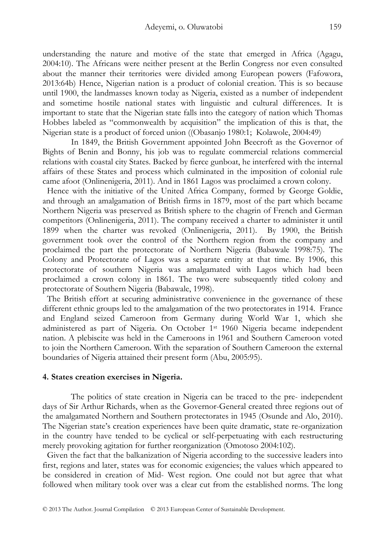understanding the nature and motive of the state that emerged in Africa (Agagu, 2004:10). The Africans were neither present at the Berlin Congress nor even consulted about the manner their territories were divided among European powers (Fafowora, 2013:64b) Hence, Nigerian nation is a product of colonial creation. This is so because until 1900, the landmasses known today as Nigeria, existed as a number of independent and sometime hostile national states with linguistic and cultural differences. It is important to state that the Nigerian state falls into the category of nation which Thomas Hobbes labeled as "commonwealth by acquisition" the implication of this is that, the Nigerian state is a product of forced union ((Obasanjo 1980:1; Kolawole, 2004:49)

 In 1849, the British Government appointed John Beecroft as the Governor of Bights of Benin and Bonny, his job was to regulate commercial relations commercial relations with coastal city States. Backed by fierce gunboat, he interfered with the internal affairs of these States and process which culminated in the imposition of colonial rule came afoot (Onlinenigeria, 2011). And in 1861 Lagos was proclaimed a crown colony.

Hence with the initiative of the United Africa Company, formed by George Goldie, and through an amalgamation of British firms in 1879, most of the part which became Northern Nigeria was preserved as British sphere to the chagrin of French and German competitors (Onlinenigeria, 2011). The company received a charter to administer it until 1899 when the charter was revoked (Onlinenigeria, 2011). By 1900, the British government took over the control of the Northern region from the company and proclaimed the part the protectorate of Northern Nigeria (Babawale 1998:75). The Colony and Protectorate of Lagos was a separate entity at that time. By 1906, this protectorate of southern Nigeria was amalgamated with Lagos which had been proclaimed a crown colony in 1861. The two were subsequently titled colony and protectorate of Southern Nigeria (Babawale, 1998).

The British effort at securing administrative convenience in the governance of these different ethnic groups led to the amalgamation of the two protectorates in 1914. France and England seized Cameroon from Germany during World War 1, which she administered as part of Nigeria. On October 1st 1960 Nigeria became independent nation. A plebiscite was held in the Cameroons in 1961 and Southern Cameroon voted to join the Northern Cameroon. With the separation of Southern Cameroon the external boundaries of Nigeria attained their present form (Abu, 2005:95).

#### **4. States creation exercises in Nigeria.**

 The politics of state creation in Nigeria can be traced to the pre- independent days of Sir Arthur Richards, when as the Governor-General created three regions out of the amalgamated Northern and Southern protectorates in 1945 (Osunde and Alo, 2010). The Nigerian state's creation experiences have been quite dramatic, state re-organization in the country have tended to be cyclical or self-perpetuating with each restructuring merely provoking agitation for further reorganization (Omotoso 2004:102).

Given the fact that the balkanization of Nigeria according to the successive leaders into first, regions and later, states was for economic exigencies; the values which appeared to be considered in creation of Mid- West region. One could not but agree that what followed when military took over was a clear cut from the established norms. The long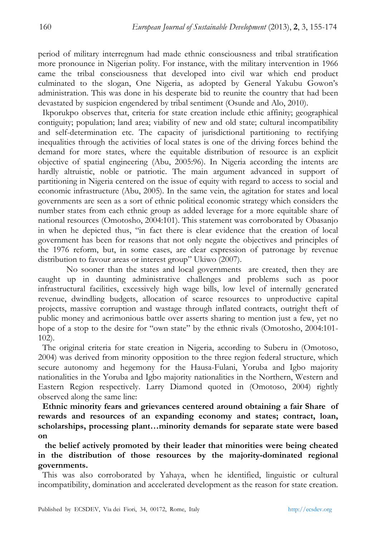period of military interregnum had made ethnic consciousness and tribal stratification more pronounce in Nigerian polity. For instance, with the military intervention in 1966 came the tribal consciousness that developed into civil war which end product culminated to the slogan, One Nigeria, as adopted by General Yakubu Gowon's administration. This was done in his desperate bid to reunite the country that had been devastated by suspicion engendered by tribal sentiment (Osunde and Alo, 2010).

Ikporukpo observes that, criteria for state creation include ethic affinity; geographical contiguity; population; land area; viability of new and old state; cultural incompatibility and self-determination etc. The capacity of jurisdictional partitioning to rectifying inequalities through the activities of local states is one of the driving forces behind the demand for more states, where the equitable distribution of resource is an explicit objective of spatial engineering (Abu, 2005:96). In Nigeria according the intents are hardly altruistic, noble or patriotic. The main argument advanced in support of partitioning in Nigeria centered on the issue of equity with regard to access to social and economic infrastructure (Abu, 2005). In the same vein, the agitation for states and local governments are seen as a sort of ethnic political economic strategy which considers the number states from each ethnic group as added leverage for a more equitable share of national resources (Omotosho, 2004:101). This statement was corroborated by Obasanjo in when he depicted thus, "in fact there is clear evidence that the creation of local government has been for reasons that not only negate the objectives and principles of the 1976 reform, but, in some cases, are clear expression of patronage by revenue distribution to favour areas or interest group" Ukiwo (2007).

 No sooner than the states and local governments are created, then they are caught up in daunting administrative challenges and problems such as poor infrastructural facilities, excessively high wage bills, low level of internally generated revenue, dwindling budgets, allocation of scarce resources to unproductive capital projects, massive corruption and wastage through inflated contracts, outright theft of public money and acrimonious battle over asserts sharing to mention just a few, yet no hope of a stop to the desire for "own state" by the ethnic rivals (Omotosho, 2004:101- 102).

The original criteria for state creation in Nigeria, according to Suberu in (Omotoso, 2004) was derived from minority opposition to the three region federal structure, which secure autonomy and hegemony for the Hausa-Fulani, Yoruba and Igbo majority nationalities in the Yoruba and Igbo majority nationalities in the Northern, Western and Eastern Region respectively. Larry Diamond quoted in (Omotoso, 2004) rightly observed along the same line:

**Ethnic minority fears and grievances centered around obtaining a fair Share of rewards and resources of an expanding economy and states; contract, loan, scholarships, processing plant…minority demands for separate state were based on** 

 **the belief actively promoted by their leader that minorities were being cheated in the distribution of those resources by the majority-dominated regional governments.** 

This was also corroborated by Yahaya, when he identified, linguistic or cultural incompatibility, domination and accelerated development as the reason for state creation.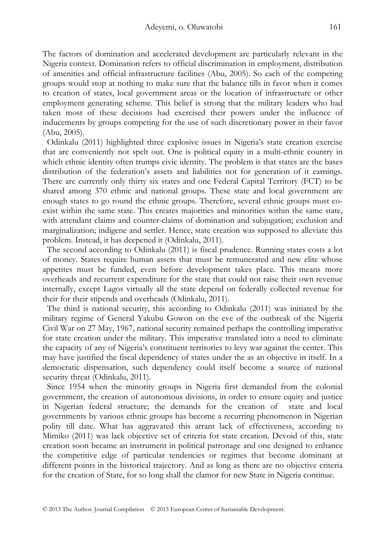The factors of domination and accelerated development are particularly relevant in the Nigeria context. Domination refers to official discrimination in employment, distribution of amenities and official infrastructure facilities (Abu, 2005). So each of the competing groups would stop at nothing to make sure that the balance tills in favor when it comes to creation of states, local government areas or the location of infrastructure or other employment generating scheme. This belief is strong that the military leaders who had taken most of these decisions had exercised their powers under the influence of inducements by groups competing for the use of such discretionary power in their favor (Abu, 2005).

Odinkalu (2011) highlighted three explosive issues in Nigeria's state creation exercise that are conveniently not spelt out. One is political equity in a multi-ethnic country in which ethnic identity often trumps civic identity. The problem is that states are the bases distribution of the federation's assets and liabilities not for generation of it earnings. There are currently only thirty six states and one Federal Capital Territory (FCT) to be shared among 370 ethnic and national groups. These state and local government are enough states to go round the ethnic groups. Therefore, several ethnic groups must coexist within the same state. This creates majorities and minorities within the same state, with attendant claims and counter-claims of domination and subjugation; exclusion and marginalization; indigene and settler. Hence, state creation was supposed to alleviate this problem. Instead, it has deepened it (Odinkalu, 2011).

The second according to Odinkalu (2011) is fiscal prudence. Running states costs a lot of money. States require human assets that must be remunerated and new elite whose appetites must be funded, even before development takes place. This means more overheads and recurrent expenditure for the state that could not raise their own revenue internally, except Lagos virtually all the state depend on federally collected revenue for their for their stipends and overheads (Odinkalu, 2011).

The third is national security, this according to Odinkalu (2011) was initiated by the military regime of General Yakubu Gowon on the eve of the outbreak of the Nigeria Civil War on 27 May, 1967, national security remained perhaps the controlling imperative for state creation under the military. This imperative translated into a need to eliminate the capacity of any of Nigeria's constituent territories to levy war against the center. This may have justified the fiscal dependency of states under the as an objective in itself. In a democratic dispensation, such dependency could itself become a source of national security threat (Odinkalu, 2011).

Since 1954 when the minority groups in Nigeria first demanded from the colonial government, the creation of autonomous divisions, in order to ensure equity and justice in Nigerian federal structure; the demands for the creation of state and local governments by various ethnic groups has become a recurring phenomenon in Nigerian polity till date. What has aggravated this arrant lack of effectiveness, according to Mimiko (2011) was lack objective set of criteria for state creation. Devoid of this, state creation soon became an instrument in political patronage and one designed to enhance the competitive edge of particular tendencies or regimes that become dominant at different points in the historical trajectory. And as long as there are no objective criteria for the creation of State, for so long shall the clamor for new State in Nigeria continue.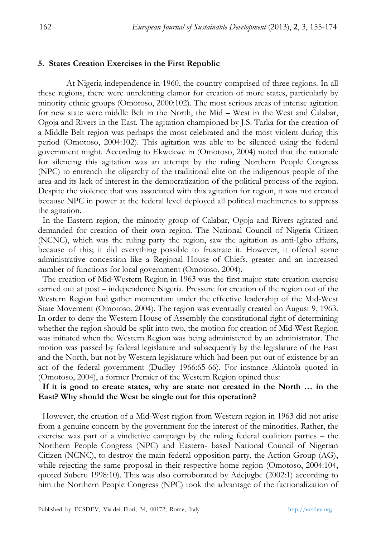#### **5. States Creation Exercises in the First Republic**

At Nigeria independence in 1960, the country comprised of three regions. In all these regions, there were unrelenting clamor for creation of more states, particularly by minority ethnic groups (Omotoso, 2000:102). The most serious areas of intense agitation for new state were middle Belt in the North, the Mid – West in the West and Calabar, Ogoja and Rivers in the East. The agitation championed by J.S. Tarka for the creation of a Middle Belt region was perhaps the most celebrated and the most violent during this period (Omotoso, 2004:102). This agitation was able to be silenced using the federal government might. According to Ekwekwe in (Omotoso, 2004) noted that the rationale for silencing this agitation was an attempt by the ruling Northern People Congress (NPC) to entrench the oligarchy of the traditional elite on the indigenous people of the area and its lack of interest in the democratization of the political process of the region. Despite the violence that was associated with this agitation for region, it was not created because NPC in power at the federal level deployed all political machineries to suppress the agitation.

In the Eastern region, the minority group of Calabar, Ogoja and Rivers agitated and demanded for creation of their own region. The National Council of Nigeria Citizen (NCNC), which was the ruling party the region, saw the agitation as anti-Igbo affairs, because of this; it did everything possible to frustrate it. However, it offered some administrative concession like a Regional House of Chiefs, greater and an increased number of functions for local government (Omotoso, 2004).

The creation of Mid-Western Region in 1963 was the first major state creation exercise carried out at post – independence Nigeria. Pressure for creation of the region out of the Western Region had gather momentum under the effective leadership of the Mid-West State Movement (Omotoso, 2004). The region was eventually created on August 9, 1963. In order to deny the Western House of Assembly the constitutional right of determining whether the region should be split into two, the motion for creation of Mid-West Region was initiated when the Western Region was being administered by an administrator. The motion was passed by federal legislature and subsequently by the legislature of the East and the North, but not by Western legislature which had been put out of existence by an act of the federal government (Dudley 1966:65-66). For instance Akintola quoted in (Omotoso, 2004), a former Premier of the Western Region opined thus:

## **If it is good to create states, why are state not created in the North … in the East? Why should the West be single out for this operation?**

However, the creation of a Mid-West region from Western region in 1963 did not arise from a genuine concern by the government for the interest of the minorities. Rather, the exercise was part of a vindictive campaign by the ruling federal coalition parties – the Northern People Congress (NPC) and Eastern- based National Council of Nigerian Citizen (NCNC), to destroy the main federal opposition party, the Action Group (AG), while rejecting the same proposal in their respective home region (Omotoso, 2004:104, quoted Suberu 1998:10). This was also corroborated by Adejugbe (2002:1) according to him the Northern People Congress (NPC) took the advantage of the factionalization of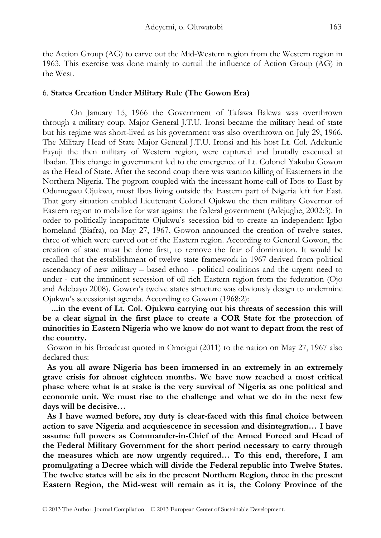the Action Group (AG) to carve out the Mid-Western region from the Western region in 1963. This exercise was done mainly to curtail the influence of Action Group (AG) in the West.

## 6. **States Creation Under Military Rule (The Gowon Era)**

 On January 15, 1966 the Government of Tafawa Balewa was overthrown through a military coup. Major General J.T.U. Ironsi became the military head of state but his regime was short-lived as his government was also overthrown on July 29, 1966. The Military Head of State Major General J.T.U. Ironsi and his host Lt. Col. Adekunle Fayuji the then military of Western region, were captured and brutally executed at Ibadan. This change in government led to the emergence of Lt. Colonel Yakubu Gowon as the Head of State. After the second coup there was wanton killing of Easterners in the Northern Nigeria. The pogrom coupled with the incessant home-call of Ibos to East by Odumegwu Ojukwu, most Ibos living outside the Eastern part of Nigeria left for East. That gory situation enabled Lieutenant Colonel Ojukwu the then military Governor of Eastern region to mobilize for war against the federal government (Adejugbe, 2002:3). In order to politically incapacitate Ojukwu's secession bid to create an independent Igbo homeland (Biafra), on May 27, 1967, Gowon announced the creation of twelve states, three of which were carved out of the Eastern region. According to General Gowon, the creation of state must be done first, to remove the fear of domination. It would be recalled that the establishment of twelve state framework in 1967 derived from political ascendancy of new military – based ethno - political coalitions and the urgent need to under - cut the imminent secession of oil rich Eastern region from the federation (Ojo and Adebayo 2008). Gowon's twelve states structure was obviously design to undermine Ojukwu's secessionist agenda. According to Gowon (1968:2):

 **...in the event of Lt. Col. Ojukwu carrying out his threats of secession this will be a clear signal in the first place to create a COR State for the protection of minorities in Eastern Nigeria who we know do not want to depart from the rest of the country.** 

Gowon in his Broadcast quoted in Omoigui (2011) to the nation on May 27, 1967 also declared thus:

**As you all aware Nigeria has been immersed in an extremely in an extremely grave crisis for almost eighteen months. We have now reached a most critical phase where what is at stake is the very survival of Nigeria as one political and economic unit. We must rise to the challenge and what we do in the next few days will be decisive…** 

**As I have warned before, my duty is clear-faced with this final choice between action to save Nigeria and acquiescence in secession and disintegration… I have assume full powers as Commander-in-Chief of the Armed Forced and Head of the Federal Military Government for the short period necessary to carry through the measures which are now urgently required… To this end, therefore, I am promulgating a Decree which will divide the Federal republic into Twelve States. The twelve states will be six in the present Northern Region, three in the present Eastern Region, the Mid-west will remain as it is, the Colony Province of the**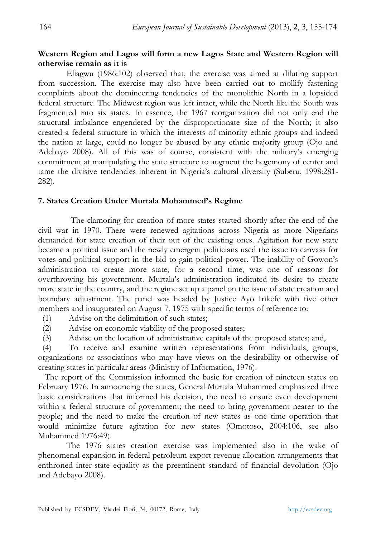## **Western Region and Lagos will form a new Lagos State and Western Region will otherwise remain as it is**

 Eliagwu (1986:102) observed that, the exercise was aimed at diluting support from succession. The exercise may also have been carried out to mollify fastening complaints about the domineering tendencies of the monolithic North in a lopsided federal structure. The Midwest region was left intact, while the North like the South was fragmented into six states. In essence, the 1967 reorganization did not only end the structural imbalance engendered by the disproportionate size of the North; it also created a federal structure in which the interests of minority ethnic groups and indeed the nation at large, could no longer be abused by any ethnic majority group (Ojo and Adebayo 2008). All of this was of course, consistent with the military's emerging commitment at manipulating the state structure to augment the hegemony of center and tame the divisive tendencies inherent in Nigeria's cultural diversity (Suberu, 1998:281- 282).

## **7. States Creation Under Murtala Mohammed's Regime**

 The clamoring for creation of more states started shortly after the end of the civil war in 1970. There were renewed agitations across Nigeria as more Nigerians demanded for state creation of their out of the existing ones. Agitation for new state became a political issue and the newly emergent politicians used the issue to canvass for votes and political support in the bid to gain political power. The inability of Gowon's administration to create more state, for a second time, was one of reasons for overthrowing his government. Murtala's administration indicated its desire to create more state in the country, and the regime set up a panel on the issue of state creation and boundary adjustment. The panel was headed by Justice Ayo Irikefe with five other members and inaugurated on August 7, 1975 with specific terms of reference to:

(1) Advise on the delimitation of such states;

(2) Advise on economic viability of the proposed states;

(3) Advise on the location of administrative capitals of the proposed states; and,

(4) To receive and examine written representations from individuals, groups, organizations or associations who may have views on the desirability or otherwise of creating states in particular areas (Ministry of Information, 1976).

 The report of the Commission informed the basic for creation of nineteen states on February 1976. In announcing the states, General Murtala Muhammed emphasized three basic considerations that informed his decision, the need to ensure even development within a federal structure of government; the need to bring government nearer to the people; and the need to make the creation of new states as one time operation that would minimize future agitation for new states (Omotoso, 2004:106, see also Muhammed 1976:49).

 The 1976 states creation exercise was implemented also in the wake of phenomenal expansion in federal petroleum export revenue allocation arrangements that enthroned inter-state equality as the preeminent standard of financial devolution (Ojo and Adebayo 2008).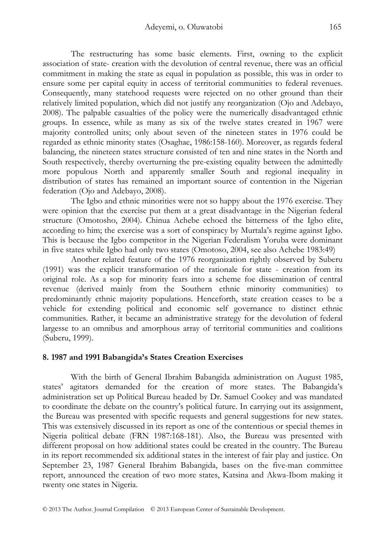The restructuring has some basic elements. First, owning to the explicit association of state- creation with the devolution of central revenue, there was an official commitment in making the state as equal in population as possible, this was in order to ensure some per capital equity in access of territorial communities to federal revenues. Consequently, many statehood requests were rejected on no other ground than their relatively limited population, which did not justify any reorganization (Ojo and Adebayo, 2008). The palpable casualties of the policy were the numerically disadvantaged ethnic groups. In essence, while as many as six of the twelve states created in 1967 were majority controlled units; only about seven of the nineteen states in 1976 could be regarded as ethnic minority states (Osaghae, 1986:158-160). Moreover, as regards federal balancing, the nineteen states structure consisted of ten and nine states in the North and South respectively, thereby overturning the pre-existing equality between the admittedly more populous North and apparently smaller South and regional inequality in distribution of states has remained an important source of contention in the Nigerian federation (Ojo and Adebayo, 2008).

 The Igbo and ethnic minorities were not so happy about the 1976 exercise. They were opinion that the exercise put them at a great disadvantage in the Nigerian federal structure (Omotosho, 2004). Chinua Achebe echoed the bitterness of the Igbo elite, according to him; the exercise was a sort of conspiracy by Murtala's regime against Igbo. This is because the Igbo competitor in the Nigerian Federalism Yoruba were dominant in five states while Igbo had only two states (Omotoso, 2004, see also Achebe 1983:49)

 Another related feature of the 1976 reorganization rightly observed by Suberu (1991) was the explicit transformation of the rationale for state - creation from its original role. As a sop for minority fears into a scheme foe dissemination of central revenue (derived mainly from the Southern ethnic minority communities) to predominantly ethnic majority populations. Henceforth, state creation ceases to be a vehicle for extending political and economic self governance to distinct ethnic communities. Rather, it became an administrative strategy for the devolution of federal largesse to an omnibus and amorphous array of territorial communities and coalitions (Suberu, 1999).

## **8. 1987 and 1991 Babangida's States Creation Exercises**

 With the birth of General Ibrahim Babangida administration on August 1985, states' agitators demanded for the creation of more states. The Babangida's administration set up Political Bureau headed by Dr. Samuel Cookey and was mandated to coordinate the debate on the country's political future. In carrying out its assignment, the Bureau was presented with specific requests and general suggestions for new states. This was extensively discussed in its report as one of the contentious or special themes in Nigeria political debate (FRN 1987:168-181). Also, the Bureau was presented with different proposal on how additional states could be created in the country. The Bureau in its report recommended six additional states in the interest of fair play and justice. On September 23, 1987 General Ibrahim Babangida, bases on the five-man committee report, announced the creation of two more states, Katsina and Akwa-Ibom making it twenty one states in Nigeria.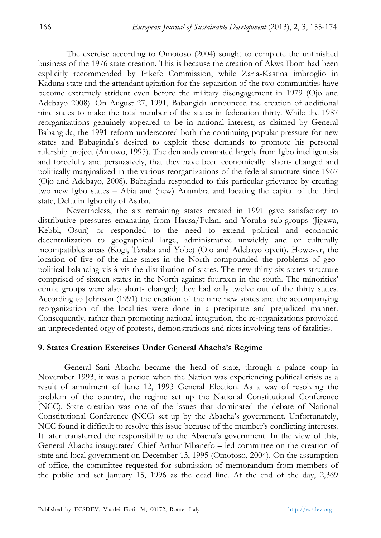The exercise according to Omotoso (2004) sought to complete the unfinished business of the 1976 state creation. This is because the creation of Akwa Ibom had been explicitly recommended by Irikefe Commission, while Zaria-Kastina imbroglio in Kaduna state and the attendant agitation for the separation of the two communities have become extremely strident even before the military disengagement in 1979 (Ojo and Adebayo 2008). On August 27, 1991, Babangida announced the creation of additional nine states to make the total number of the states in federation thirty. While the 1987 reorganizations genuinely appeared to be in national interest, as claimed by General Babangida, the 1991 reform underscored both the continuing popular pressure for new states and Babaginda's desired to exploit these demands to promote his personal rulership project (Amuwo, 1995). The demands emanated largely from Igbo intelligentsia and forcefully and persuasively, that they have been economically short- changed and politically marginalized in the various reorganizations of the federal structure since 1967 (Ojo and Adebayo, 2008). Babaginda responded to this particular grievance by creating two new Igbo states – Abia and (new) Anambra and locating the capital of the third state, Delta in Igbo city of Asaba.

 Nevertheless, the six remaining states created in 1991 gave satisfactory to distributive pressures emanating from Hausa/Fulani and Yoruba sub-groups (Jigawa, Kebbi, Osun) or responded to the need to extend political and economic decentralization to geographical large, administrative unwieldy and or culturally incompatibles areas (Kogi, Taraba and Yobe) (Ojo and Adebayo op.cit). However, the location of five of the nine states in the North compounded the problems of geopolitical balancing vis-à-vis the distribution of states. The new thirty six states structure comprised of sixteen states in the North against fourteen in the south. The minorities' ethnic groups were also short- changed; they had only twelve out of the thirty states. According to Johnson (1991) the creation of the nine new states and the accompanying reorganization of the localities were done in a precipitate and prejudiced manner. Consequently, rather than promoting national integration, the re-organizations provoked an unprecedented orgy of protests, demonstrations and riots involving tens of fatalities.

## **9. States Creation Exercises Under General Abacha's Regime**

 General Sani Abacha became the head of state, through a palace coup in November 1993, it was a period when the Nation was experiencing political crisis as a result of annulment of June 12, 1993 General Election. As a way of resolving the problem of the country, the regime set up the National Constitutional Conference (NCC). State creation was one of the issues that dominated the debate of National Constitutional Conference (NCC) set up by the Abacha's government. Unfortunately, NCC found it difficult to resolve this issue because of the member's conflicting interests. It later transferred the responsibility to the Abacha's government. In the view of this, General Abacha inaugurated Chief Arthur Mbanefo – led committee on the creation of state and local government on December 13, 1995 (Omotoso, 2004). On the assumption of office, the committee requested for submission of memorandum from members of the public and set January 15, 1996 as the dead line. At the end of the day, 2,369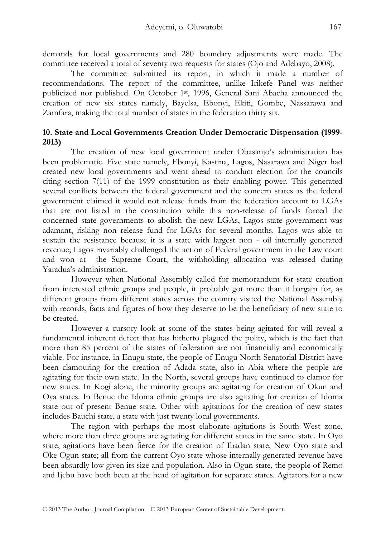demands for local governments and 280 boundary adjustments were made. The committee received a total of seventy two requests for states (Ojo and Adebayo, 2008).

 The committee submitted its report, in which it made a number of recommendations. The report of the committee, unlike Irikefe Panel was neither publicized nor published. On October 1st, 1996, General Sani Abacha announced the creation of new six states namely, Bayelsa, Ebonyi, Ekiti, Gombe, Nassarawa and Zamfara, making the total number of states in the federation thirty six.

# **10. State and Local Governments Creation Under Democratic Dispensation (1999- 2013)**

The creation of new local government under Obasanjo's administration has been problematic. Five state namely, Ebonyi, Kastina, Lagos, Nasarawa and Niger had created new local governments and went ahead to conduct election for the councils citing section 7(11) of the 1999 constitution as their enabling power. This generated several conflicts between the federal government and the concern states as the federal government claimed it would not release funds from the federation account to LGAs that are not listed in the constitution while this non-release of funds forced the concerned state governments to abolish the new LGAs, Lagos state government was adamant, risking non release fund for LGAs for several months. Lagos was able to sustain the resistance because it is a state with largest non - oil internally generated revenue; Lagos invariably challenged the action of Federal government in the Law court and won at the Supreme Court, the withholding allocation was released during Yaradua's administration.

 However when National Assembly called for memorandum for state creation from interested ethnic groups and people, it probably got more than it bargain for, as different groups from different states across the country visited the National Assembly with records, facts and figures of how they deserve to be the beneficiary of new state to be created.

 However a cursory look at some of the states being agitated for will reveal a fundamental inherent defect that has hitherto plagued the polity, which is the fact that more than 85 percent of the states of federation are not financially and economically viable. For instance, in Enugu state, the people of Enugu North Senatorial District have been clamouring for the creation of Adada state, also in Abia where the people are agitating for their own state. In the North, several groups have continued to clamor for new states. In Kogi alone, the minority groups are agitating for creation of Okun and Oya states. In Benue the Idoma ethnic groups are also agitating for creation of Idoma state out of present Benue state. Other with agitations for the creation of new states includes Bauchi state, a state with just twenty local governments.

 The region with perhaps the most elaborate agitations is South West zone, where more than three groups are agitating for different states in the same state. In Oyo state, agitations have been fierce for the creation of Ibadan state, New Oyo state and Oke Ogun state; all from the current Oyo state whose internally generated revenue have been absurdly low given its size and population. Also in Ogun state, the people of Remo and Ijebu have both been at the head of agitation for separate states. Agitators for a new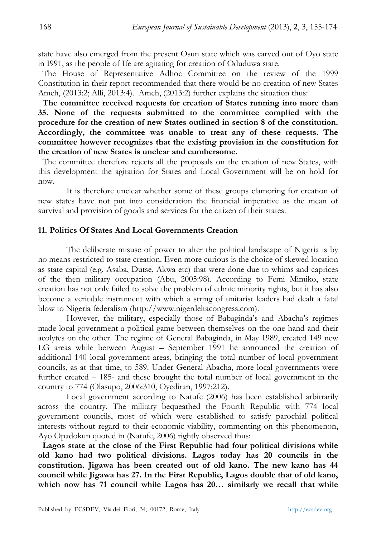state have also emerged from the present Osun state which was carved out of Oyo state in I991, as the people of Ife are agitating for creation of Oduduwa state.

The House of Representative Adhoc Committee on the review of the 1999 Constitution in their report recommended that there would be no creation of new States Ameh, (2013:2; Alli, 2013:4). Ameh, (2013:2) further explains the situation thus:

**The committee received requests for creation of States running into more than 35. None of the requests submitted to the committee complied with the procedure for the creation of new States outlined in section 8 of the constitution. Accordingly, the committee was unable to treat any of these requests. The committee however recognizes that the existing provision in the constitution for the creation of new States is unclear and cumbersome.** 

The committee therefore rejects all the proposals on the creation of new States, with this development the agitation for States and Local Government will be on hold for now.

 It is therefore unclear whether some of these groups clamoring for creation of new states have not put into consideration the financial imperative as the mean of survival and provision of goods and services for the citizen of their states.

## **11. Politics Of States And Local Governments Creation**

 The deliberate misuse of power to alter the political landscape of Nigeria is by no means restricted to state creation. Even more curious is the choice of skewed location as state capital (e.g. Asaba, Dutse, Akwa etc) that were done due to whims and caprices of the then military occupation (Abu, 2005:98). According to Femi Mimiko, state creation has not only failed to solve the problem of ethnic minority rights, but it has also become a veritable instrument with which a string of unitarist leaders had dealt a fatal blow to Nigeria federalism (http://www.nigerdeltacongress.com).

 However, the military, especially those of Babaginda's and Abacha's regimes made local government a political game between themselves on the one hand and their acolytes on the other. The regime of General Babaginda, in May 1989, created 149 new LG areas while between August – September 1991 he announced the creation of additional 140 local government areas, bringing the total number of local government councils, as at that time, to 589. Under General Abacha, more local governments were further created – 185- and these brought the total number of local government in the country to 774 (Olasupo, 2006:310, Oyediran, 1997:212).

 Local government according to Natufe (2006) has been established arbitrarily across the country. The military bequeathed the Fourth Republic with 774 local government councils, most of which were established to satisfy parochial political interests without regard to their economic viability, commenting on this phenomenon, Ayo Opadokun quoted in (Natufe, 2006) rightly observed thus:

**Lagos state at the close of the First Republic had four political divisions while old kano had two political divisions. Lagos today has 20 councils in the constitution. Jigawa has been created out of old kano. The new kano has 44 council while Jigawa has 27. In the First Republic, Lagos double that of old kano, which now has 71 council while Lagos has 20… similarly we recall that while**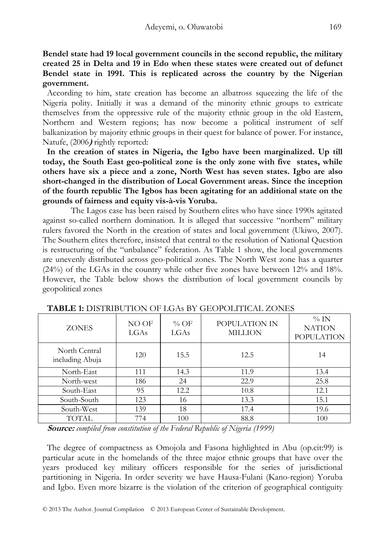**Bendel state had 19 local government councils in the second republic, the military created 25 in Delta and 19 in Edo when these states were created out of defunct Bendel state in 1991. This is replicated across the country by the Nigerian government.** 

According to him, state creation has become an albatross squeezing the life of the Nigeria polity. Initially it was a demand of the minority ethnic groups to extricate themselves from the oppressive rule of the majority ethnic group in the old Eastern, Northern and Western regions; has now become a political instrument of self balkanization by majority ethnic groups in their quest for balance of power. For instance, Natufe, (2006**)** rightly reported:

**In the creation of states in Nigeria, the Igbo have been marginalized. Up till today, the South East geo-political zone is the only zone with five states, while others have six a piece and a zone, North West has seven states. Igbo are also short-changed in the distribution of Local Government areas. Since the inception of the fourth republic The Igbos has been agitating for an additional state on the grounds of fairness and equity vis-à-vis Yoruba.** 

 The Lagos case has been raised by Southern elites who have since 1990s agitated against so-called northern domination. It is alleged that successive "northern" military rulers favored the North in the creation of states and local government (Ukiwo, 2007). The Southern elites therefore, insisted that central to the resolution of National Question is restructuring of the "unbalance" federation. As Table 1 show, the local governments are unevenly distributed across geo-political zones. The North West zone has a quarter (24%) of the LGAs in the country while other five zones have between 12% and 18%. However, the Table below shows the distribution of local government councils by geopolitical zones

| <b>ZONES</b>                     | NO OF<br>LGAs | $\%$ OF<br>LGAs | POPULATION IN<br><b>MILLION</b> | $\%$ IN<br><b>NATION</b><br><b>POPULATION</b> |
|----------------------------------|---------------|-----------------|---------------------------------|-----------------------------------------------|
| North Central<br>including Abuja | 120           | 15.5            | 12.5                            | 14                                            |
| North-East                       | 111           | 14.3            | 11.9                            | 13.4                                          |
| North-west                       | 186           | 24              | 22.9                            | 25.8                                          |
| South-East                       | 95            | 12.2            | 10.8                            | 12.1                                          |
| South-South                      | 123           | 16              | 13.3                            | 15.1                                          |
| South-West                       | 139           | 18              | 17.4                            | 19.6                                          |
| TOTAL                            | 774           | 100             | 88.8                            | 100                                           |

**TABLE 1:** DISTRIBUTION OF LGAs BY GEOPOLITICAL ZONES

**Source:** *compiled from constitution of the Federal Republic of Nigeria (1999)* 

The degree of compactness as Omojola and Fasona highlighted in Abu (op.cit:99) is particular acute in the homelands of the three major ethnic groups that have over the years produced key military officers responsible for the series of jurisdictional partitioning in Nigeria. In order severity we have Hausa-Fulani (Kano-region) Yoruba and Igbo. Even more bizarre is the violation of the criterion of geographical contiguity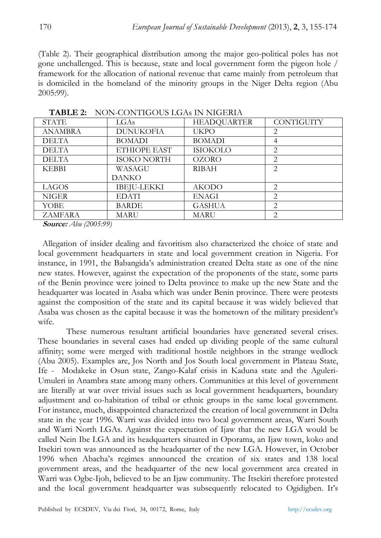(Table 2). Their geographical distribution among the major geo-political poles has not gone unchallenged. This is because, state and local government form the pigeon hole / framework for the allocation of national revenue that came mainly from petroleum that is domiciled in the homeland of the minority groups in the Niger Delta region (Abu 2005:99).

| TIOTI QOTITIOOOD EOITI III TIOEIDII |                    |                    |                |  |  |
|-------------------------------------|--------------------|--------------------|----------------|--|--|
| <b>STATE</b>                        | LGAs               | <b>HEADOUARTER</b> | CONTIGUITY     |  |  |
| <b>ANAMBRA</b>                      | <b>DUNUKOFIA</b>   | <b>UKPO</b>        | $\overline{2}$ |  |  |
| <b>DELTA</b>                        | <b>BOMADI</b>      | <b>BOMADI</b>      | 4              |  |  |
| <b>DELTA</b>                        | ETHIOPE EAST       | ISIOKOLO           | $\overline{2}$ |  |  |
| <b>DELTA</b>                        | <b>ISOKO NORTH</b> | <b>OZORO</b>       | $\overline{2}$ |  |  |
| <b>KEBBI</b>                        | WASAGU             | <b>RIBAH</b>       | $\overline{2}$ |  |  |
|                                     | <b>DANKO</b>       |                    |                |  |  |
| LAGOS                               | <b>IBEJU-LEKKI</b> | <b>AKODO</b>       | 2              |  |  |
| <b>NIGER</b>                        | <b>EDATI</b>       | <b>ENAGI</b>       | 2              |  |  |
| YOBE                                | <b>BARDE</b>       | <b>GASHUA</b>      | 2              |  |  |
| <b>ZAMFARA</b>                      | MARU               | <b>MARU</b>        | $\overline{2}$ |  |  |

 **TABLE 2:** NON-CONTIGOUS LGAs IN NIGERIA

**Source:** *Abu (2005:99)* 

Allegation of insider dealing and favoritism also characterized the choice of state and local government headquarters in state and local government creation in Nigeria. For instance, in 1991, the Babangida's administration created Delta state as one of the nine new states. However, against the expectation of the proponents of the state, some parts of the Benin province were joined to Delta province to make up the new State and the headquarter was located in Asaba which was under Benin province. There were protests against the composition of the state and its capital because it was widely believed that Asaba was chosen as the capital because it was the hometown of the military president's wife.

 These numerous resultant artificial boundaries have generated several crises. These boundaries in several cases had ended up dividing people of the same cultural affinity; some were merged with traditional hostile neighbors in the strange wedlock (Abu 2005). Examples are, Jos North and Jos South local government in Plateau State, Ife - Modakeke in Osun state, Zango-Kalaf crisis in Kaduna state and the Aguleri-Umuleri in Anambra state among many others. Communities at this level of government are literally at war over trivial issues such as local government headquarters, boundary adjustment and co-habitation of tribal or ethnic groups in the same local government. For instance, much, disappointed characterized the creation of local government in Delta state in the year 1996. Warri was divided into two local government areas, Warri South and Warri North LGAs. Against the expectation of Ijaw that the new LGA would be called Nein Ibe LGA and its headquarters situated in Oporama, an Ijaw town, koko and Itsekiri town was announced as the headquarter of the new LGA. However, in October 1996 when Abacha's regimes announced the creation of six states and 138 local government areas, and the headquarter of the new local government area created in Warri was Ogbe-Ijoh, believed to be an Ijaw community. The Itsekiri therefore protested and the local government headquarter was subsequently relocated to Ogidigben. It's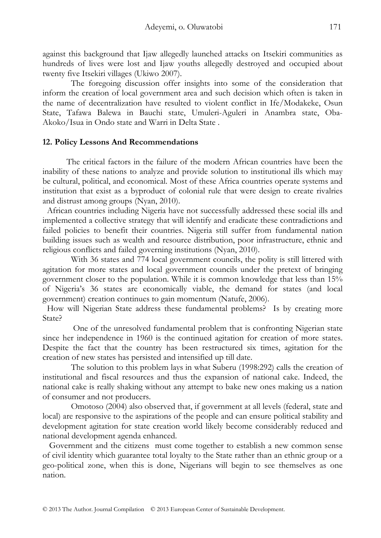against this background that Ijaw allegedly launched attacks on Itsekiri communities as hundreds of lives were lost and Ijaw youths allegedly destroyed and occupied about twenty five Itsekiri villages (Ukiwo 2007).

 The foregoing discussion offer insights into some of the consideration that inform the creation of local government area and such decision which often is taken in the name of decentralization have resulted to violent conflict in Ife/Modakeke, Osun State, Tafawa Balewa in Bauchi state, Umuleri-Aguleri in Anambra state, Oba-Akoko/Isua in Ondo state and Warri in Delta State .

## **12. Policy Lessons And Recommendations**

 The critical factors in the failure of the modern African countries have been the inability of these nations to analyze and provide solution to institutional ills which may be cultural, political, and economical. Most of these Africa countries operate systems and institution that exist as a byproduct of colonial rule that were design to create rivalries and distrust among groups (Nyan, 2010).

African countries including Nigeria have not successfully addressed these social ills and implemented a collective strategy that will identify and eradicate these contradictions and failed policies to benefit their countries. Nigeria still suffer from fundamental nation building issues such as wealth and resource distribution, poor infrastructure, ethnic and religious conflicts and failed governing institutions (Nyan, 2010).

 With 36 states and 774 local government councils, the polity is still littered with agitation for more states and local government councils under the pretext of bringing government closer to the population. While it is common knowledge that less than 15% of Nigeria's 36 states are economically viable, the demand for states (and local government) creation continues to gain momentum (Natufe, 2006).

How will Nigerian State address these fundamental problems? Is by creating more State?

 One of the unresolved fundamental problem that is confronting Nigerian state since her independence in 1960 is the continued agitation for creation of more states. Despite the fact that the country has been restructured six times, agitation for the creation of new states has persisted and intensified up till date.

 The solution to this problem lays in what Suberu (1998:292) calls the creation of institutional and fiscal resources and thus the expansion of national cake. Indeed, the national cake is really shaking without any attempt to bake new ones making us a nation of consumer and not producers.

 Omotoso (2004) also observed that, if government at all levels (federal, state and local) are responsive to the aspirations of the people and can ensure political stability and development agitation for state creation world likely become considerably reduced and national development agenda enhanced.

 Government and the citizens must come together to establish a new common sense of civil identity which guarantee total loyalty to the State rather than an ethnic group or a geo-political zone, when this is done, Nigerians will begin to see themselves as one nation.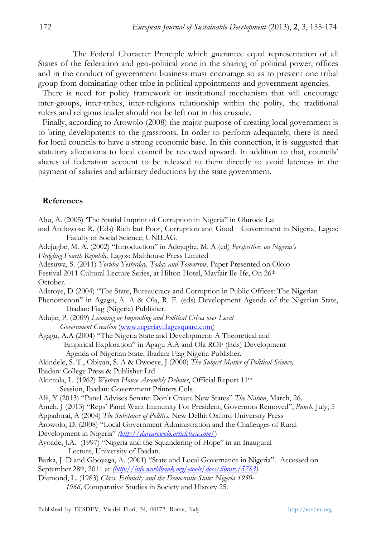The Federal Character Principle which guarantee equal representation of all States of the federation and geo-political zone in the sharing of political power, offices and in the conduct of government business must encourage so as to prevent one tribal group from dominating other tribe in political appointments and government agencies.

There is need for policy framework or institutional mechanism that will encourage inter-groups, inter-tribes, inter-religions relationship within the polity, the traditional rulers and religious leader should not be left out in this crusade.

Finally, according to Arowolo (2008) the major purpose of creating local government is to bring developments to the grassroots. In order to perform adequately, there is need for local councils to have a strong economic base. In this connection, it is suggested that statutory allocations to local council be reviewed upward. In addition to that, councils' shares of federation account to be released to them directly to avoid lateness in the payment of salaries and arbitrary deductions by the state government.

## **References**

Abu, A. (2005) 'The Spatial Imprint of Corruption in Nigeria" in Olurode Lai

and Anifowose R. (Eds) Rich but Poor, Corruption and Good Government in Nigeria, Lagos: Faculty of Social Science, UNILAG.

Adejugbe, M. A. (2002) "Introduction" in Adejugbe, M. A (ed) *Perspectives on Nigeria's* 

*Fledgling Fourth Republic*, Lagos: Malthouse Press Limited

- Adesuwa, S. (2011) *Yoruba Yesterday, Today and Tomorrow*. Paper Presented on Olojo
- Festival 2011 Cultural Lecture Series, at Hilton Hotel, Mayfair Ile-Ife, On 26th October.
- Adetoye, D (2004) "The State, Bureaucracy and Corruption in Public Offices: The Nigerian
- Phenomenon" in Agagu, A. A & Ola, R. F. (eds) Development Agenda of the Nigerian State, Ibadan: Fiag (Nigeria) Publisher.
- Adujie, P. (2009) *Looming or Impending and Political Crises over Local Government Creation* (www.nigeriavillagesquare.com)
- Agagu, A.A (2004) "The Nigeria State and Development: A Theoretical and Empirical Exploration" in Agagu A.A and Ola ROF (Eds) Development Agenda of Nigerian State, Ibadan: Flag Nigeria Publisher.

Akindele, S. T., Obiyan, S. A & Owoeye, J (2000) *The Subject Matter of Political Science,* Ibadan: College Press & Publisher Ltd

Akintola, L. (1962) *Western House Assembly Debates*, Official Report 11th Session, Ibadan: Government Printers Cols.

Alii, Y (2013) "Panel Advises Senate: Don't Create New States" *The Nation*, March, 26.

- Ameh, J (2013) "Reps' Panel Want Immunity For President, Governors Removed", *Punch*, July, 5
- Appadorai, A (2004) *The Substance of Politics*, New Delhi: Oxford University Press

Arowolo, D. (2008) "Local Government Administration and the Challenges of Rural Development in Nigeria" *(http://darearowolo.articlebase.com/*)

Ayoade, J.A. (1997) "Nigeria and the Squandering of Hope" in an Inaugural Lecture, University of Ibadan.

Barka, J. D and Gboyega, A. (2001) "State and Local Governance in Nigeria". Accessed on September 28<sup>th</sup>, 2011 at *(http://info.worldbank.org/etools/docs/library/5783)* 

Diamond, L. (1983) *Class, Ethnicity and the Democratic State: Nigeria 1950- 1966,* Comparative Studies in Society and History 25.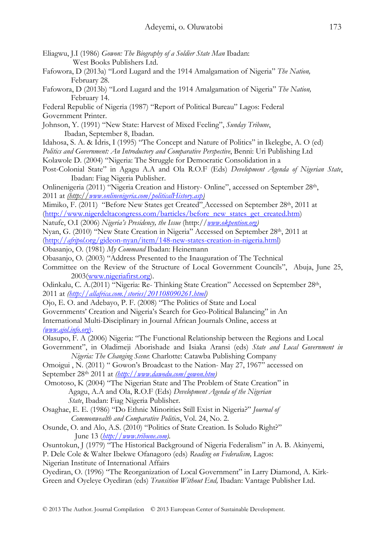| Eliagwu, J.I (1986) Gowon: The Biography of a Soldier State Man Ibadan: |
|-------------------------------------------------------------------------|
| West Books Publishers Ltd.                                              |

- Fafowora, D (2013a) "Lord Lugard and the 1914 Amalgamation of Nigeria" *The Nation,*  February 28.
- Fafowora, D (2013b) "Lord Lugard and the 1914 Amalgamation of Nigeria" *The Nation,*  February 14.

Federal Republic of Nigeria (1987) "Report of Political Bureau" Lagos: Federal Government Printer.

Johnson, Y. (1991) "New State: Harvest of Mixed Feeling", *Sunday Tribune*, Ibadan, September 8, Ibadan.

- Idahosa, S. A. & Idris, I (1995) "The Concept and Nature of Politics" in Ikelegbe, A. O (ed)
- *Politics and Government: An Introductory and Comparative Perspective*, Benni: Uri Publishing Ltd
- Kolawole D. (2004) "Nigeria: The Struggle for Democratic Consolidation in a
- Post-Colonial State" in Agagu A.A and Ola R.O.F (Eds) *Development Agenda of Nigerian State*, Ibadan: Fiag Nigeria Publisher.

Onlinenigeria (2011) "Nigeria Creation and History- Online", accessed on September 28th, 2011 at *(http://www.onlinenigeria.com/politicalHistory.asp)*

Mimiko, F. (2011) "Before New States get Created" Accessed on September 28th, 2011 at (http://www.nigerdeltacongress.com/barticles/before\_new\_states\_get\_created.htm)

Natufe, O.I (2006) *Nigeria's Presidency, the Issue* (http://*www.okpention.org)*

Nyan, G. (2010) "New State Creation in Nigeria" Accessed on September 28th, 2011 at (http://*afripol*.org/gideon-nyan/item/148-new-states-creation-in-nigeria.html)

- Obasanjo, O. (1981) *My Command* Ibadan: Heinemann
- Obasanjo, O. (2003) "Address Presented to the Inauguration of The Technical
- Committee on the Review of the Structure of Local Government Councils", Abuja, June 25, 2003(www.nigeriafirst.org).
- Odinkalu, C. A.(2011) "Nigeria: Re- Thinking State Creation" Accessed on September 28<sup>th</sup>, 2011 at *(http://allafrica.com./stories/201108090261.html)*
- Ojo, E. O. and Adebayo, P. F. (2008) "The Politics of State and Local
- Governments' Creation and Nigeria's Search for Geo-Political Balancing" in An

International Multi-Disciplinary in Journal African Journals Online, access at

*(www.ajol.info.org*).

Olasupo, F. A (2006) Nigeria: "The Functional Relationship between the Regions and Local

Government", in Oladimeji Aborishade and Isiaka Aransi (eds) *State and Local Government in Nigeria: The Changing Scene*: Charlotte: Catawba Publishing Company

Omoigui , N. (2011) " Gowon's Broadcast to the Nation- May 27, 1967" accessed on

September 28th 2011 at *(http://www.dawodu.com/gowon.htm)* 

- Omotoso, K (2004) "The Nigerian State and The Problem of State Creation" in Agagu, A.A and Ola, R.O.F (Eds) *Development Agenda of the Nigerian State*, Ibadan: Fiag Nigeria Publisher.
- Osaghae, E. E. (1986) "Do Ethnic Minorities Still Exist in Nigeria?" *Journal of Commonwealth and Comparative Politic*s, Vol. 24, No. 2.
- Osunde, O. and Alo, A.S. (2010) "Politics of State Creation. Is Soludo Right?" June 13 (*http://www.tribune.com).*
- Osuntokun, J (1979) "The Historical Background of Nigeria Federalism" in A. B. Akinyemi, P. Dele Cole & Walter Ibekwe Ofanagoro (eds) *Reading on Federalism,* Lagos:

Nigerian Institute of International Affairs

Oyediran, O. (1996) "The Reorganization of Local Government" in Larry Diamond, A. Kirk-Green and Oyeleye Oyediran (eds) *Transition Without End,* Ibadan: Vantage Publisher Ltd.